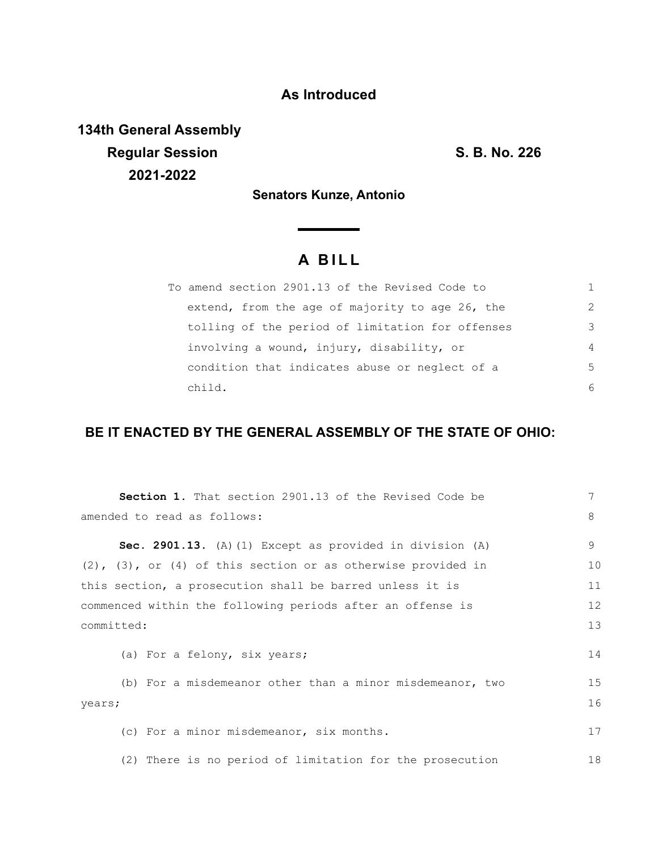## **As Introduced**

**134th General Assembly Regular Session S. B. No. 226 2021-2022**

**Senators Kunze, Antonio**

## **A B I L L**

| To amend section 2901.13 of the Revised Code to  |               |
|--------------------------------------------------|---------------|
| extend, from the age of majority to age 26, the  | $\mathcal{P}$ |
| tolling of the period of limitation for offenses | 3             |
| involving a wound, injury, disability, or        | 4             |
| condition that indicates abuse or neglect of a   | .5            |
| child.                                           | 6             |

## **BE IT ENACTED BY THE GENERAL ASSEMBLY OF THE STATE OF OHIO:**

| <b>Section 1.</b> That section 2901.13 of the Revised Code be        | 7  |
|----------------------------------------------------------------------|----|
| amended to read as follows:                                          | 8  |
| Sec. 2901.13. (A) (1) Except as provided in division (A)             | 9  |
| $(2)$ , $(3)$ , or $(4)$ of this section or as otherwise provided in | 10 |
| this section, a prosecution shall be barred unless it is             | 11 |
| commenced within the following periods after an offense is           | 12 |
| committed:                                                           |    |
| (a) For a felony, six years;                                         | 14 |
| (b) For a misdemeanor other than a minor misdemeanor, two            | 15 |
| years;                                                               | 16 |
| (c) For a minor misdemeanor, six months.                             | 17 |
| (2) There is no period of limitation for the prosecution             | 18 |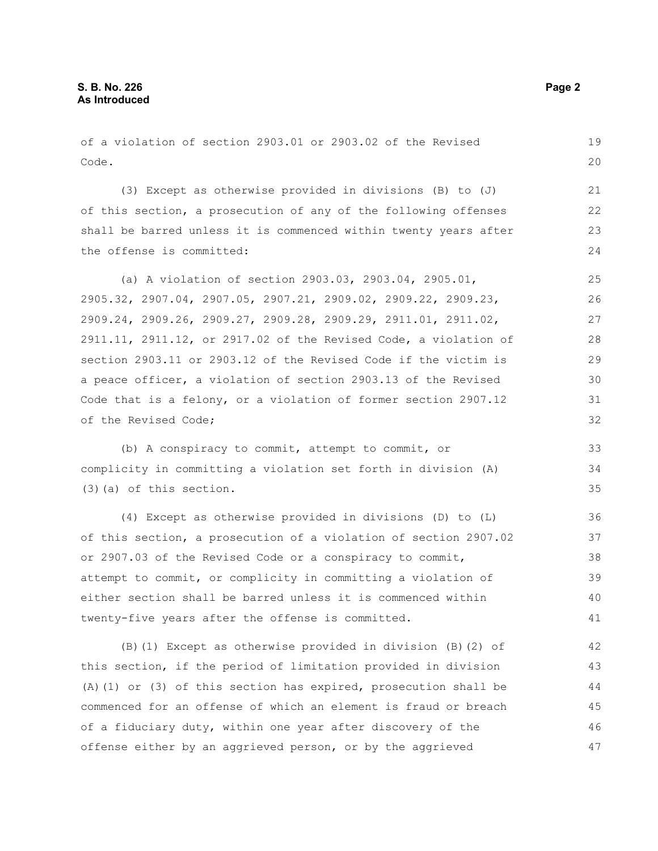of a violation of section 2903.01 or 2903.02 of the Revised Code. (3) Except as otherwise provided in divisions (B) to (J) of this section, a prosecution of any of the following offenses shall be barred unless it is commenced within twenty years after the offense is committed: (a) A violation of section 2903.03, 2903.04, 2905.01, 2905.32, 2907.04, 2907.05, 2907.21, 2909.02, 2909.22, 2909.23, 2909.24, 2909.26, 2909.27, 2909.28, 2909.29, 2911.01, 2911.02, 2911.11, 2911.12, or 2917.02 of the Revised Code, a violation of section 2903.11 or 2903.12 of the Revised Code if the victim is a peace officer, a violation of section 2903.13 of the Revised Code that is a felony, or a violation of former section 2907.12 of the Revised Code; (b) A conspiracy to commit, attempt to commit, or complicity in committing a violation set forth in division (A) (3)(a) of this section. (4) Except as otherwise provided in divisions (D) to (L) of this section, a prosecution of a violation of section 2907.02 or 2907.03 of the Revised Code or a conspiracy to commit, attempt to commit, or complicity in committing a violation of either section shall be barred unless it is commenced within twenty-five years after the offense is committed. (B)(1) Except as otherwise provided in division (B)(2) of 19 20 21 22 23 24 25 26 27 28 29 30 31 32 33 34 35 36 37 38 39 40 41 42

this section, if the period of limitation provided in division (A)(1) or (3) of this section has expired, prosecution shall be commenced for an offense of which an element is fraud or breach of a fiduciary duty, within one year after discovery of the offense either by an aggrieved person, or by the aggrieved 43 44 45 46 47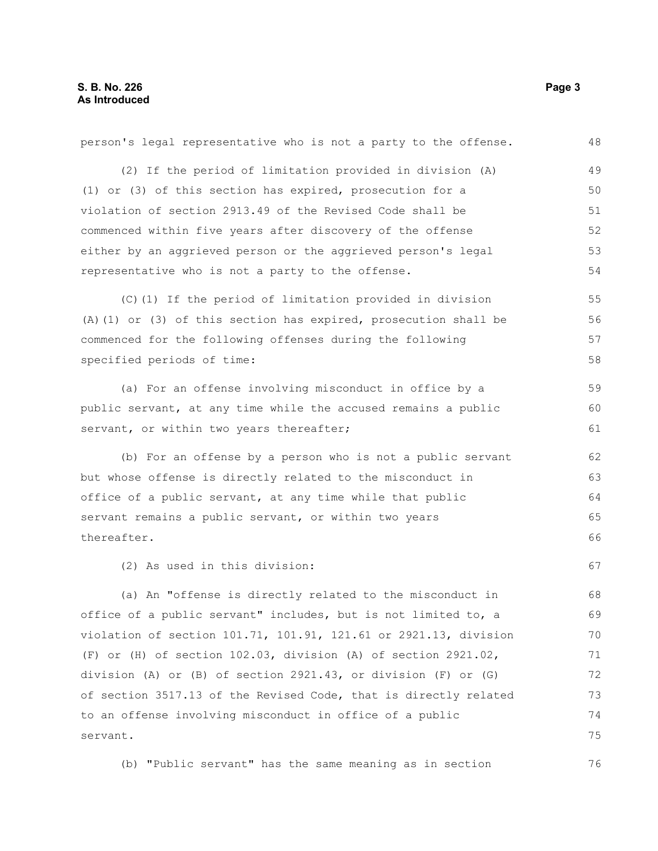| person's legal representative who is not a party to the offense.     | 48 |
|----------------------------------------------------------------------|----|
| (2) If the period of limitation provided in division (A)             | 49 |
| (1) or (3) of this section has expired, prosecution for a            | 50 |
| violation of section 2913.49 of the Revised Code shall be            | 51 |
| commenced within five years after discovery of the offense           | 52 |
| either by an aggrieved person or the aggrieved person's legal        | 53 |
| representative who is not a party to the offense.                    | 54 |
| (C)(1) If the period of limitation provided in division              | 55 |
| $(A)$ (1) or (3) of this section has expired, prosecution shall be   | 56 |
| commenced for the following offenses during the following            | 57 |
| specified periods of time:                                           | 58 |
| (a) For an offense involving misconduct in office by a               | 59 |
| public servant, at any time while the accused remains a public       |    |
| servant, or within two years thereafter;                             | 61 |
| (b) For an offense by a person who is not a public servant           | 62 |
| but whose offense is directly related to the misconduct in           | 63 |
| office of a public servant, at any time while that public            | 64 |
| servant remains a public servant, or within two years                |    |
| thereafter.                                                          |    |
| (2) As used in this division:                                        | 67 |
| (a) An "offense is directly related to the misconduct in             | 68 |
| office of a public servant" includes, but is not limited to, a       | 69 |
| violation of section 101.71, 101.91, 121.61 or 2921.13, division     | 70 |
| (F) or (H) of section $102.03$ , division (A) of section $2921.02$ , | 71 |
| division (A) or (B) of section 2921.43, or division (F) or (G)       | 72 |
| of section 3517.13 of the Revised Code, that is directly related     | 73 |
| to an offense involving misconduct in office of a public             | 74 |
| servant.                                                             | 75 |
| (b) "Public servant" has the same meaning as in section              | 76 |

(b) "Public servant" has the same meaning as in section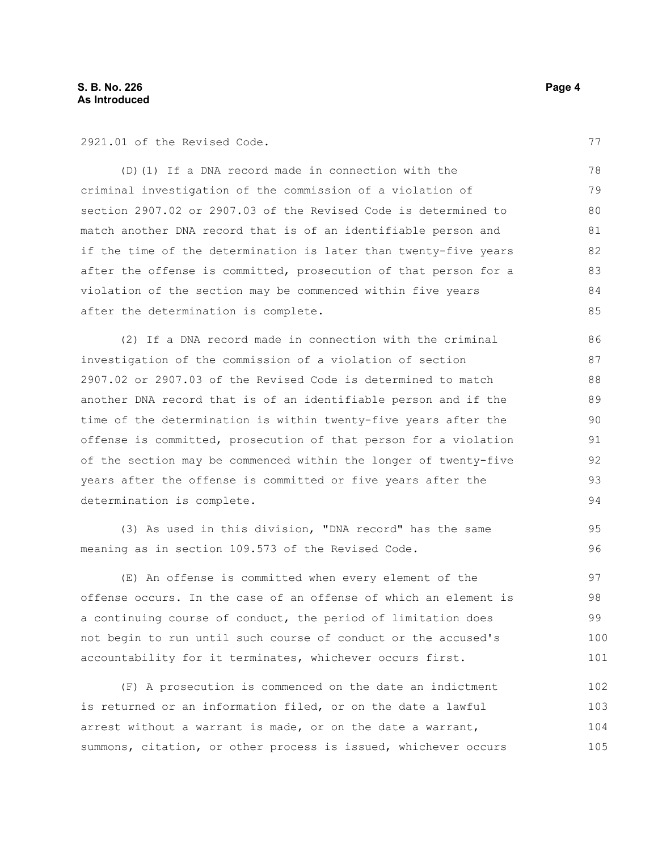2921.01 of the Revised Code.

(D)(1) If a DNA record made in connection with the criminal investigation of the commission of a violation of section 2907.02 or 2907.03 of the Revised Code is determined to match another DNA record that is of an identifiable person and if the time of the determination is later than twenty-five years after the offense is committed, prosecution of that person for a violation of the section may be commenced within five years after the determination is complete. 78 79 80 81 82 83 84 85

(2) If a DNA record made in connection with the criminal investigation of the commission of a violation of section 2907.02 or 2907.03 of the Revised Code is determined to match another DNA record that is of an identifiable person and if the time of the determination is within twenty-five years after the offense is committed, prosecution of that person for a violation of the section may be commenced within the longer of twenty-five years after the offense is committed or five years after the determination is complete.

(3) As used in this division, "DNA record" has the same meaning as in section 109.573 of the Revised Code.

(E) An offense is committed when every element of the offense occurs. In the case of an offense of which an element is a continuing course of conduct, the period of limitation does not begin to run until such course of conduct or the accused's accountability for it terminates, whichever occurs first. 97 98 99 100 101

(F) A prosecution is commenced on the date an indictment is returned or an information filed, or on the date a lawful arrest without a warrant is made, or on the date a warrant, summons, citation, or other process is issued, whichever occurs 102 103 104 105

77

95 96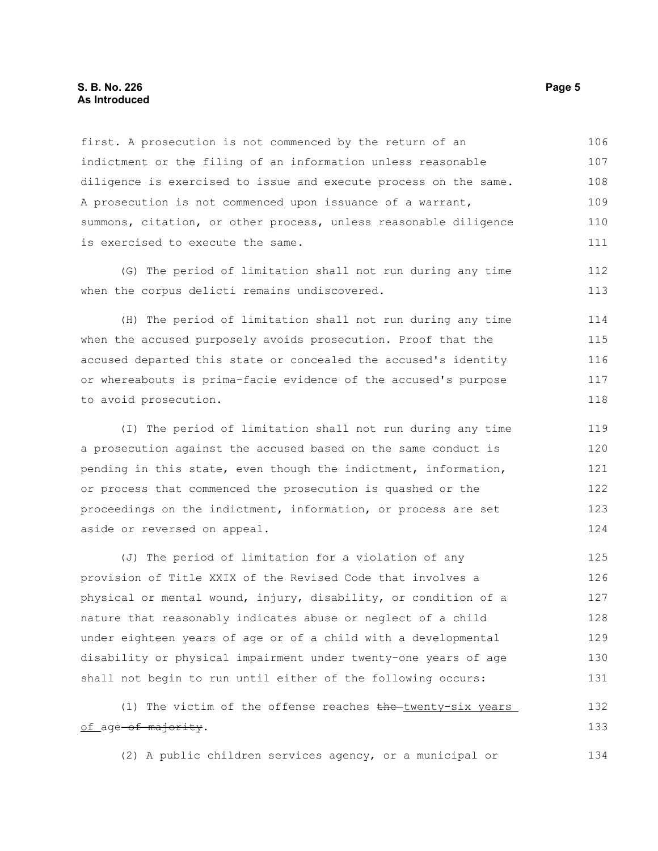## **S. B. No. 226** Page 5 **As Introduced**

first. A prosecution is not commenced by the return of an indictment or the filing of an information unless reasonable diligence is exercised to issue and execute process on the same. A prosecution is not commenced upon issuance of a warrant, summons, citation, or other process, unless reasonable diligence is exercised to execute the same. 106 107 108 109 110 111

(G) The period of limitation shall not run during any time when the corpus delicti remains undiscovered.

(H) The period of limitation shall not run during any time when the accused purposely avoids prosecution. Proof that the accused departed this state or concealed the accused's identity or whereabouts is prima-facie evidence of the accused's purpose to avoid prosecution. 114 115 116 117 118

(I) The period of limitation shall not run during any time a prosecution against the accused based on the same conduct is pending in this state, even though the indictment, information, or process that commenced the prosecution is quashed or the proceedings on the indictment, information, or process are set aside or reversed on appeal. 119 120 121 122 123 124

(J) The period of limitation for a violation of any provision of Title XXIX of the Revised Code that involves a physical or mental wound, injury, disability, or condition of a nature that reasonably indicates abuse or neglect of a child under eighteen years of age or of a child with a developmental disability or physical impairment under twenty-one years of age shall not begin to run until either of the following occurs: 125 126 127 128 129 130 131

(1) The victim of the offense reaches  $the$ -twenty-six years of age-of majority. 132 133

(2) A public children services agency, or a municipal or 134

112 113